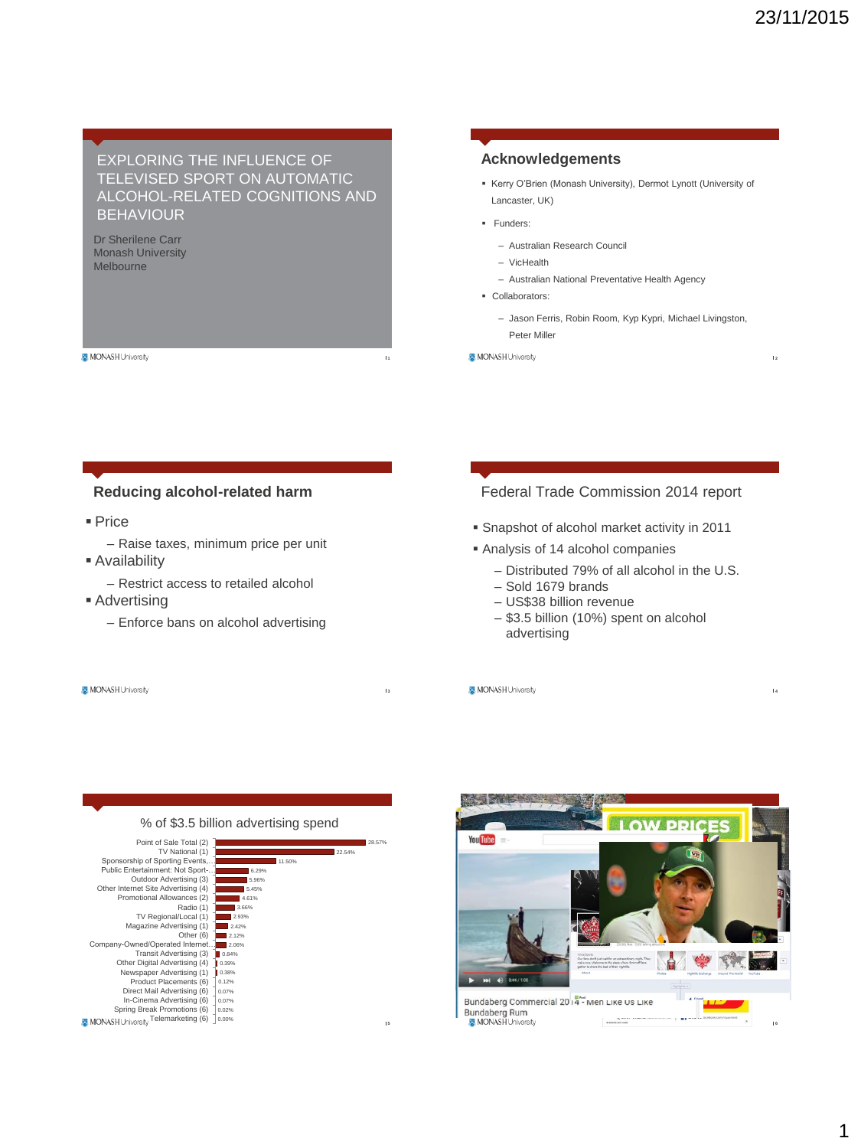**2**

**4**

## EXPLORING THE INFLUENCE OF TELEVISED SPORT ON AUTOMATIC ALCOHOL-RELATED COGNITIONS AND BEHAVIOUR

Dr Sherilene Carr Monash University Melbourne

MONASH University

## **Acknowledgements**

- Kerry O'Brien (Monash University), Dermot Lynott (University of Lancaster, UK)
- **Funders:** 
	- Australian Research Council
	- VicHealth
	- Australian National Preventative Health Agency
- Collaborators:
	- Jason Ferris, Robin Room, Kyp Kypri, Michael Livingston, Peter Miller
- MONASH University

#### **Reducing alcohol-related harm**

- Price
	- Raise taxes, minimum price per unit
- Availability
	- Restrict access to retailed alcohol
- Advertising
	- Enforce bans on alcohol advertising

MONASH University

## Federal Trade Commission 2014 report

- **Snapshot of alcohol market activity in 2011**
- Analysis of 14 alcohol companies
	- Distributed 79% of all alcohol in the U.S. – Sold 1679 brands
	- US\$38 billion revenue
	- \$3.5 billion (10%) spent on alcohol
	- advertising

MONASH University

**3**

28.57%

**5**

## % of \$3.5 billion advertising spend



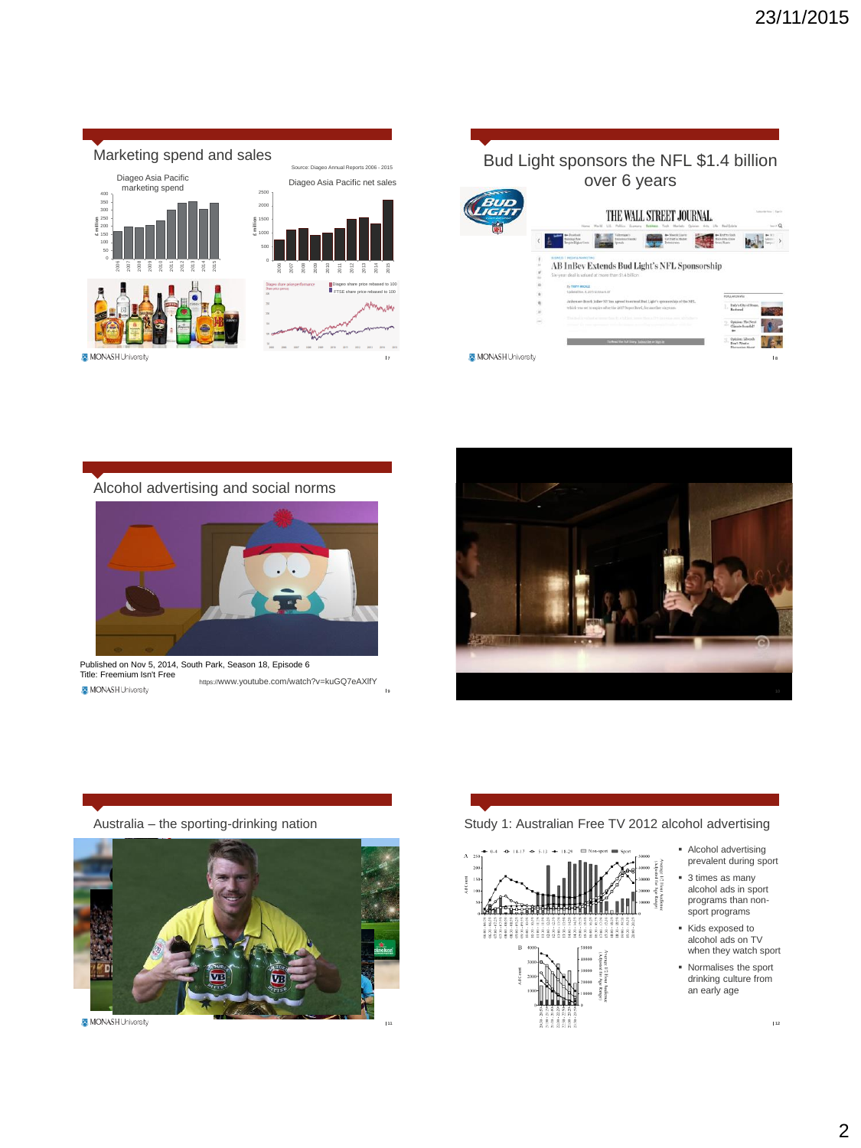



Alcohol advertising and social norms



Published on Nov 5, 2014, South Park, Season 18, Episode 6 Title: Freemium Isn't Free https://[www.youtube.com/watch?v=kuGQ7eAXlfY](https://www.youtube.com/watch?v=kuGQ7eAXlfY) MONASH University

**9**



Australia – the sporting-drinking nation



MONASH University

Study 1: Australian Free TV 2012 alcohol advertising



- Alcohol advertising prevalent during sport
- 3 times as many alcohol ads in sport programs than nonsport programs
- Kids exposed to alcohol ads on TV when they watch sport
- Normalises the sport drinking culture from an early age

**12**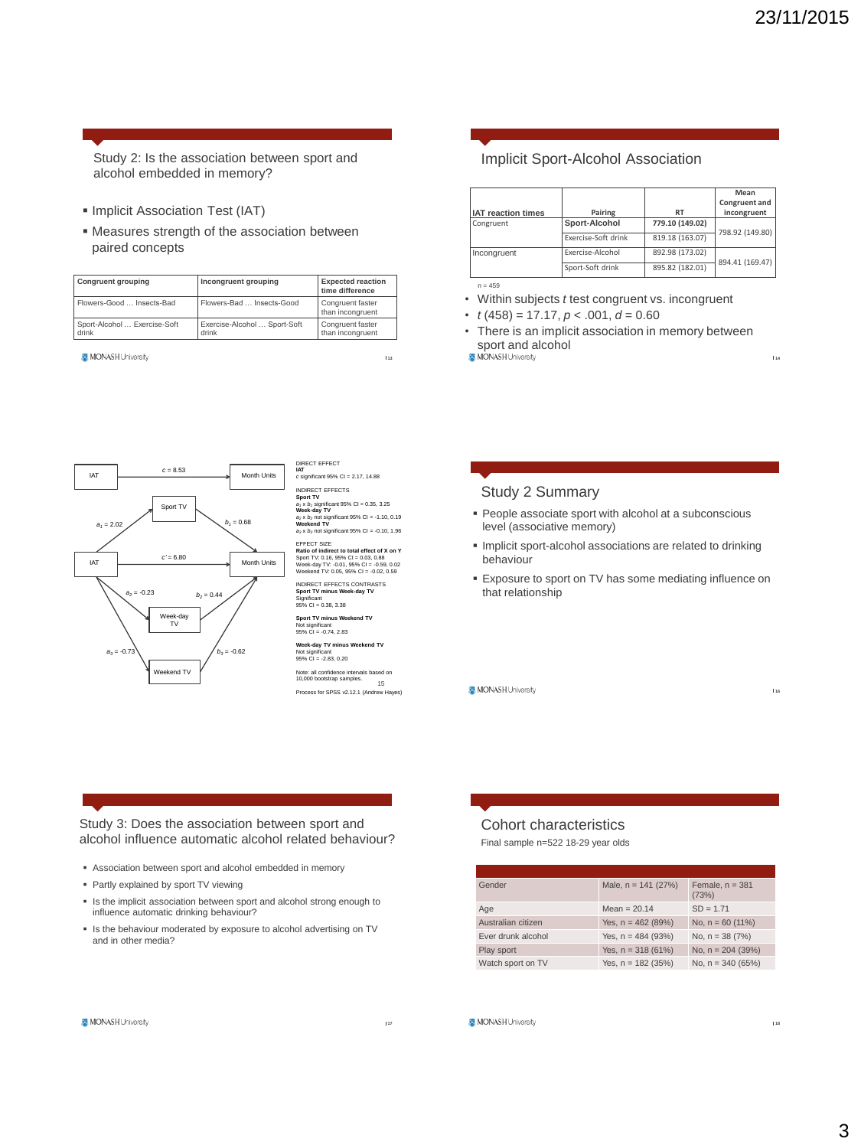**14**

**16**

Study 2: Is the association between sport and alcohol embedded in memory?

- **Implicit Association Test (IAT)**
- Measures strength of the association between paired concepts

| <b>Congruent grouping</b>             | Incongruent grouping                  | <b>Expected reaction</b><br>time difference |
|---------------------------------------|---------------------------------------|---------------------------------------------|
| Flowers-Good  Insects-Bad             | Flowers-Bad  Insects-Good             | Congruent faster<br>than incongruent        |
| Sport-Alcohol  Exercise-Soft<br>drink | Exercise-Alcohol  Sport-Soft<br>drink | Congruent faster<br>than incongruent        |

MONASH University

IAT  $C = 6.80$  Month Units Sport TV  $a_1 = 2.02$  *b<sub>1</sub>* = 0.68 *c'* = 6.80 Week-day TV Weekend TV  $a_2 = -0.23$  *b<sub>2</sub>* = 0.44  $a_3 = -0.73$  *b<sub>3</sub>* = -0.62  $C = 8.53$  Month Units *c =* 8.53

# DIRECT EFFECT **IAT** *c* significant 95% CI = 2.17, 14.88

INDIRECT EFFECTS **Sport TV** *a<sup>1</sup>* x *b<sup>1</sup>* significant 95% CI = 0.35, 3.25

**13**

**Week-day TV** *a<sup>2</sup>* x *b<sup>2</sup>* not significant 95% CI = -1.10, 0.19 **Weekend TV** *a<sup>3</sup>* x *b<sup>3</sup>* not significant 95% CI = -0.10, 1.96

EFFECT SIZE **Ratio of indirect to total effect of X on Y** Sport TV: 0.16, 95% CI = 0.03, 0.88 Week-day TV: -0.01, 95% CI = -0.59, 0.02 Weekend TV: 0.05, 95% CI = -0.02, 0.59

INDIRECT EFFECTS CONTRASTS **Sport TV minus Week-day TV** Significant 95% CI = 0.38, 3.38

**Sport TV minus Weekend TV** Not significant 95% CI = -0.74, 2.83

**Week-day TV minus Weekend TV**<br>Not significant<br>95% CI = -2.83, 0.20

15 Note: all confidence intervals based on 10,000 bootstrap samples. Process for SPSS v2.12.1 (Andrew Hayes)

#### Implicit Sport-Alcohol Association

| <b>IAT reaction times</b> | Pairing             | <b>RT</b>       | Mean<br>Congruent and<br>incongruent |  |
|---------------------------|---------------------|-----------------|--------------------------------------|--|
| Congruent                 | Sport-Alcohol       | 779.10 (149.02) |                                      |  |
|                           | Exercise-Soft drink | 819.18 (163.07) | 798.92 (149.80)                      |  |
| Incongruent               | Exercise-Alcohol    | 892.98 (173.02) |                                      |  |
|                           | Sport-Soft drink    | 895.82 (182.01) | 894.41 (169.47)                      |  |

- Within subjects *t* test congruent vs. incongruent
- $\cdot$  *t* (458) = 17.17, *p* < .001, *d* = 0.60
- There is an implicit association in memory between **sport and alcohol** 
	-

 $n = 459$ 

#### Study 2 Summary

- People associate sport with alcohol at a subconscious level (associative memory)
- $\blacksquare$  Implicit sport-alcohol associations are related to drinking behaviour
- Exposure to sport on TV has some mediating influence on that relationship
- MONASH University

Study 3: Does the association between sport and alcohol influence automatic alcohol related behaviour?

- Association between sport and alcohol embedded in memory
- Partly explained by sport TV viewing
- **In** Is the implicit association between sport and alcohol strong enough to influence automatic drinking behaviour?
- Is the behaviour moderated by exposure to alcohol advertising on TV and in other media?

## Cohort characteristics

Final sample n=522 18-29 year olds

| Gender             | Male, $n = 141$ (27%) | Female, $n = 381$<br>(73%) |
|--------------------|-----------------------|----------------------------|
| Age                | Mean = $20.14$        | $SD = 1.71$                |
| Australian citizen | Yes, $n = 462 (89%)$  | No, $n = 60$ (11%)         |
| Ever drunk alcohol | Yes, $n = 484 (93%)$  | No, $n = 38(7%)$           |
| Play sport         | Yes, $n = 318(61\%)$  | No, $n = 204$ (39%)        |
| Watch sport on TV  | Yes, $n = 182$ (35%)  | No, $n = 340 (65%)$        |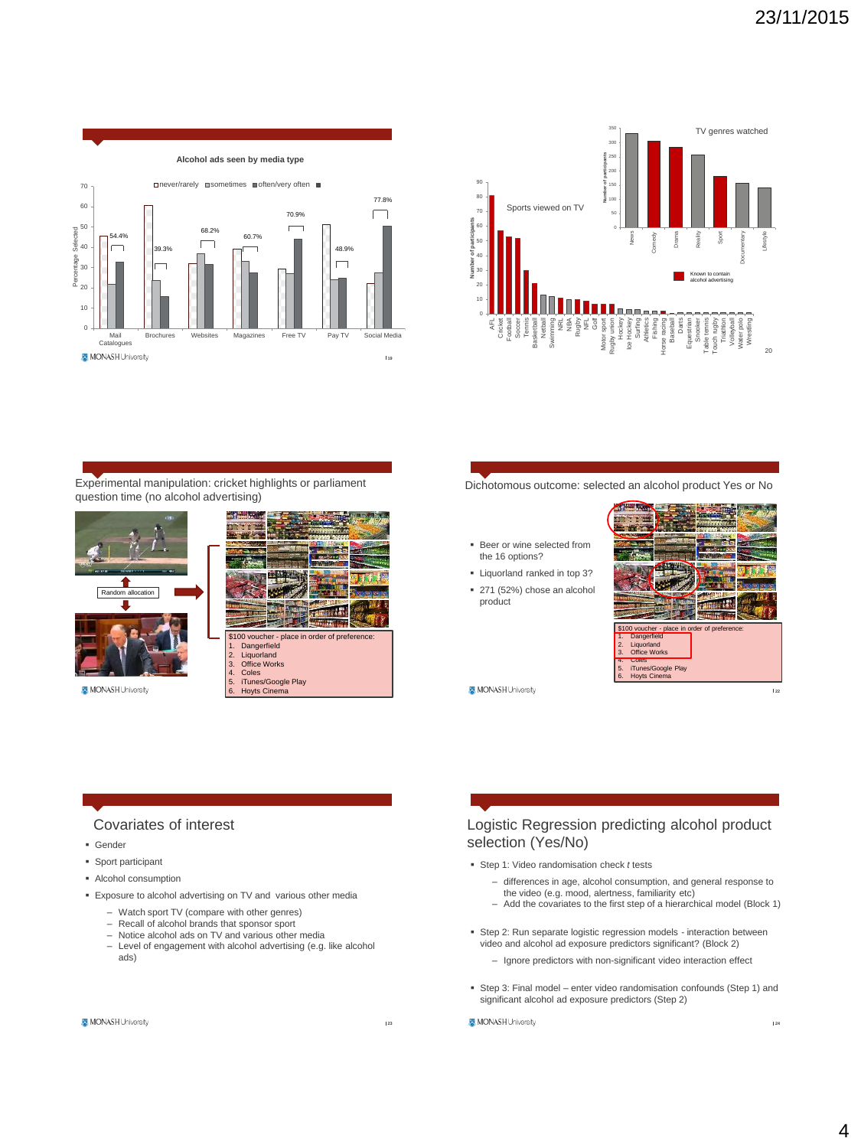



Experimental manipulation: cricket highlights or parliament question time (no alcohol advertising)



Dichotomous outcome: selected an alcohol product Yes or No

- Beer or wine selected from the 16 options?
- **Liquorland ranked in top 3?**
- 271 (52%) chose an alcohol product



MONASH University

Covariates of interest

- Gender
- **Sport participant**
- Alcohol consumption
- Exposure to alcohol advertising on TV and various other media
	- Watch sport TV (compare with other genres)
	- Recall of alcohol brands that sponsor sport
	- Notice alcohol ads on TV and various other media Level of engagement with alcohol advertising (e.g. like alcohol
	- ads)



- Step 1: Video randomisation check *t* tests
	- differences in age, alcohol consumption, and general response to
	- the video (e.g. mood, alertness, familiarity etc)
	- Add the covariates to the first step of a hierarchical model (Block 1)
- Step 2: Run separate logistic regression models interaction between video and alcohol ad exposure predictors significant? (Block 2)
	- Ignore predictors with non-significant video interaction effect
- Step 3: Final model enter video randomisation confounds (Step 1) and significant alcohol ad exposure predictors (Step 2)

MONASH University

**24**